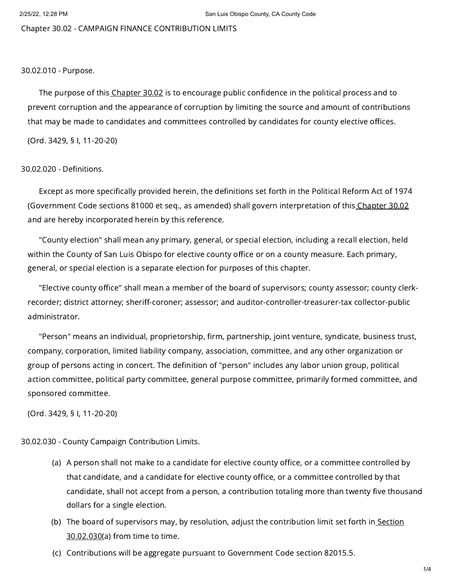Chapter 30.02 - CAMPAIGN FINANCE CONTRIBUTION LIMITS

## 30.02.010 - Purpose.

The purpose of this [Chapter](https://library.municode.com/) 30.02 is to encourage public confidence in the political process and to prevent corruption and the appearance of corruption by limiting the source and amount of contributions that may be made to candidates and committees controlled by candidates for county elective offices.

(Ord. 3429, § I, 11-20-20)

## 30.02.020 - Definitions.

Except as more specifically provided herein, the definitions set forth in the Political Reform Act of 1974 (Government Code sections 81000 et seq., as amended) shall govern interpretation of this [Chapter](https://library.municode.com/) 30.02 and are hereby incorporated herein by this reference.

"County election" shall mean any primary, general, or special election, including a recall election, held within the County of San Luis Obispo for elective county office or on a county measure. Each primary, general, or special election is a separate election for purposes of this chapter.

"Elective county office" shall mean a member of the board of supervisors; county assessor; county clerkrecorder; district attorney; sheriff-coroner; assessor; and auditor-controller-treasurer-tax collector-public administrator.

"Person" means an individual, proprietorship, firm, partnership, joint venture, syndicate, business trust, company, corporation, limited liability company, association, committee, and any other organization or group of persons acting in concert. The definition of "person" includes any labor union group, political action committee, political party committee, general purpose committee, primarily formed committee, and sponsored committee.

(Ord. 3429, § I, 11-20-20)

30.02.030 - County Campaign Contribution Limits.

- (a) A person shall not make to a candidate for elective county office, or a committee controlled by that candidate, and a candidate for elective county office, or a committee controlled by that candidate, shall not accept from a person, a contribution totaling more than twenty five thousand dollars for a single election.
- (b) The board of supervisors may, by resolution, adjust the [contribution](https://library.municode.com/) limit set forth in<u> Section</u> 30.02.030(a) from time to time.
- (c) Contributions will be aggregate pursuant to Government Code section 82015.5.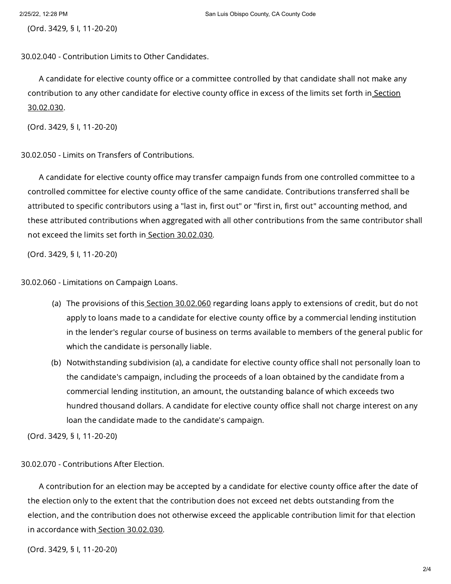(Ord. 3429, § I, 11-20-20)

30.02.040 - Contribution Limits to Other Candidates.

A candidate for elective county office or a committee controlled by that candidate shall not make any [contribution](https://library.municode.com/) to any other candidate for elective county office in excess of the limits set forth in Section 30.02.030.

(Ord. 3429, § I, 11-20-20)

30.02.050 - Limits on Transfers of Contributions.

A candidate for elective county office may transfer campaign funds from one controlled committee to a controlled committee for elective county office of the same candidate. Contributions transferred shall be attributed to specific contributors using a "last in, first out" or "first in, first out" accounting method, and these attributed contributions when aggregated with all other contributions from the same contributor shall not exceed the limits set forth in Section [30.02.030](https://library.municode.com/).

(Ord. 3429, § I, 11-20-20)

30.02.060 - Limitations on Campaign Loans.

- (a) The provisions of this<u> Section [30.02.060](https://library.municode.com/)</u> regarding loans apply to extensions of credit, but do not apply to loans made to a candidate for elective county office by a commercial lending institution in the lender's regular course of business on terms available to members of the general public for which the candidate is personally liable.
- (b) Notwithstanding subdivision (a), a candidate for elective county office shall not personally loan to the candidate's campaign, including the proceeds of a loan obtained by the candidate from a commercial lending institution, an amount, the outstanding balance of which exceeds two hundred thousand dollars. A candidate for elective county office shall not charge interest on any loan the candidate made to the candidate's campaign.

(Ord. 3429, § I, 11-20-20)

## 30.02.070 - Contributions After Election.

A contribution for an election may be accepted by a candidate for elective county office after the date of the election only to the extent that the contribution does not exceed net debts outstanding from the election, and the contribution does not otherwise exceed the applicable contribution limit for that election in accordance with Section [30.02.030](https://library.municode.com/).

(Ord. 3429, § I, 11-20-20)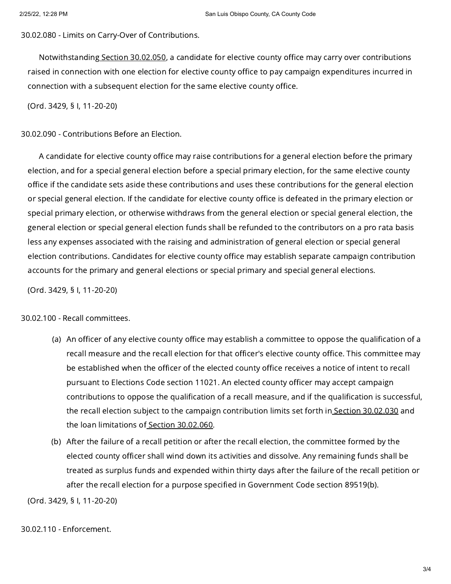30.02.080 - Limits on Carry-Over of Contributions.

Notwithstanding Section [30.02.050](https://library.municode.com/), a candidate for elective county office may carry over contributions raised in connection with one election for elective county office to pay campaign expenditures incurred in connection with a subsequent election for the same elective county office.

(Ord. 3429, § I, 11-20-20)

30.02.090 - Contributions Before an Election.

A candidate for elective county office may raise contributions for a general election before the primary election, and for a special general election before a special primary election, for the same elective county office if the candidate sets aside these contributions and uses these contributions for the general election or special general election. If the candidate for elective county office is defeated in the primary election or special primary election, or otherwise withdraws from the general election or special general election, the general election or special general election funds shall be refunded to the contributors on a pro rata basis less any expenses associated with the raising and administration of general election or special general election contributions. Candidates for elective county office may establish separate campaign contribution accounts for the primary and general elections or special primary and special general elections.

(Ord. 3429, § I, 11-20-20)

30.02.100 - Recall committees.

- (a) An officer of any elective county office may establish a committee to oppose the qualification of a recall measure and the recall election for that officer's elective county office. This committee may be established when the officer of the elected county office receives a notice of intent to recall pursuant to Elections Code section 11021. An elected county officer may accept campaign contributions to oppose the qualification of a recall measure, and if the qualification is successful, the recall election subject to the campaign contribution limits set forth in Section [30.02.030](https://library.municode.com/) and the loan limitations of Section [30.02.060](https://library.municode.com/).
- (b) After the failure of a recall petition or after the recall election, the committee formed by the elected county officer shall wind down its activities and dissolve. Any remaining funds shall be treated as surplus funds and expended within thirty days after the failure of the recall petition or after the recall election for a purpose specified in Government Code section 89519(b).

(Ord. 3429, § I, 11-20-20)

30.02.110 - Enforcement.